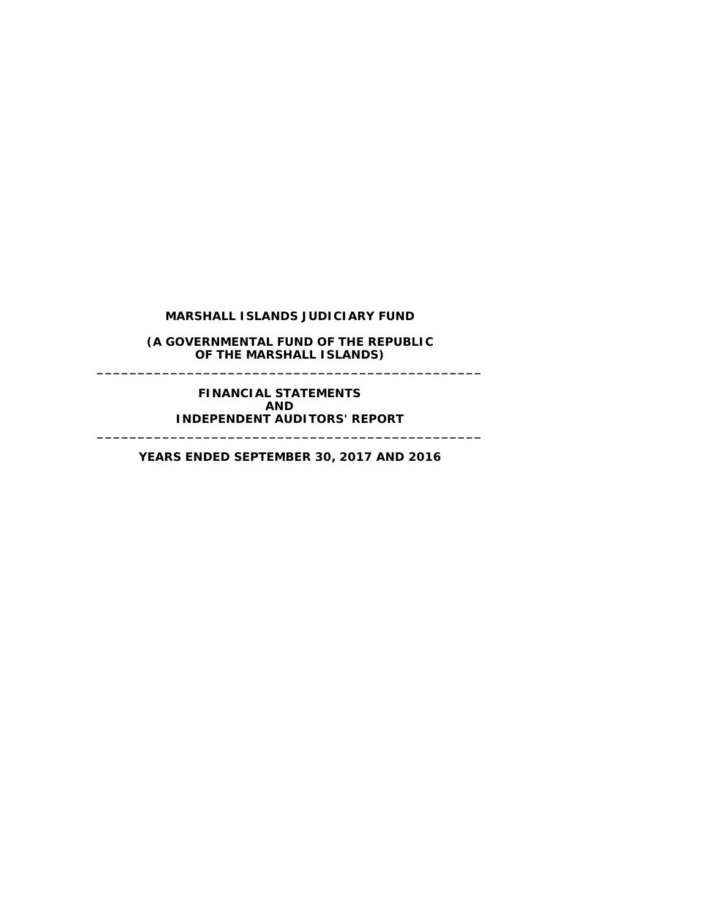**(A GOVERNMENTAL FUND OF THE REPUBLIC OF THE MARSHALL ISLANDS) \_\_\_\_\_\_\_\_\_\_\_\_\_\_\_\_\_\_\_\_\_\_\_\_\_\_\_\_\_\_\_\_\_\_\_\_\_\_\_\_\_\_\_\_\_\_\_**

**FINANCIAL STATEMENTS AND INDEPENDENT AUDITORS' REPORT \_\_\_\_\_\_\_\_\_\_\_\_\_\_\_\_\_\_\_\_\_\_\_\_\_\_\_\_\_\_\_\_\_\_\_\_\_\_\_\_\_\_\_\_\_\_\_**

**YEARS ENDED SEPTEMBER 30, 2017 AND 2016**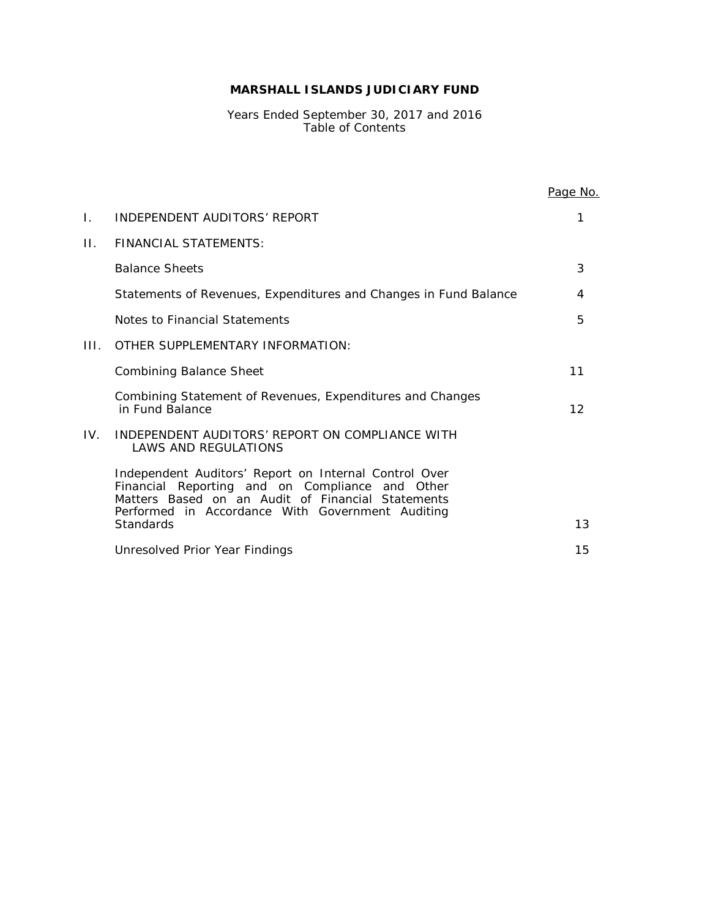Years Ended September 30, 2017 and 2016 Table of Contents

|      |                                                                                                                                                                                                                                | Page No. |
|------|--------------------------------------------------------------------------------------------------------------------------------------------------------------------------------------------------------------------------------|----------|
| Ι.   | INDEPENDENT AUDITORS' REPORT                                                                                                                                                                                                   | 1        |
| Н.   | <b>FINANCIAL STATEMENTS:</b>                                                                                                                                                                                                   |          |
|      | <b>Balance Sheets</b>                                                                                                                                                                                                          | 3        |
|      | Statements of Revenues, Expenditures and Changes in Fund Balance                                                                                                                                                               | 4        |
|      | Notes to Financial Statements                                                                                                                                                                                                  | 5        |
| III. | OTHER SUPPLEMENTARY INFORMATION:                                                                                                                                                                                               |          |
|      | <b>Combining Balance Sheet</b>                                                                                                                                                                                                 | 11       |
|      | Combining Statement of Revenues, Expenditures and Changes<br>in Fund Balance                                                                                                                                                   | 12       |
| IV.  | INDEPENDENT AUDITORS' REPORT ON COMPLIANCE WITH<br><b>LAWS AND REGULATIONS</b>                                                                                                                                                 |          |
|      | Independent Auditors' Report on Internal Control Over<br>Financial Reporting and on Compliance and Other<br>Matters Based on an Audit of Financial Statements<br>Performed in Accordance With Government Auditing<br>Standards | 13       |
|      | Unresolved Prior Year Findings                                                                                                                                                                                                 | 15       |
|      |                                                                                                                                                                                                                                |          |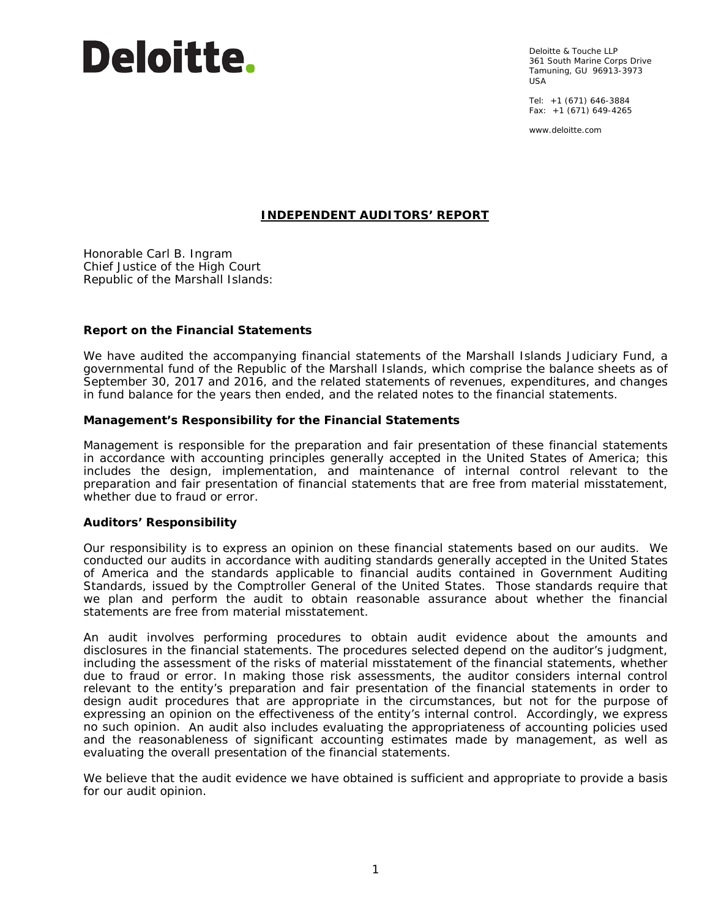Deloitte & Touche LLP 361 South Marine Corps Drive Tamuning, GU 96913-3973 USA

Tel: +1 (671) 646-3884 Fax: +1 (671) 649-4265

www.deloitte.com

# **INDEPENDENT AUDITORS' REPORT**

Honorable Carl B. Ingram Chief Justice of the High Court Republic of the Marshall Islands:

# **Report on the Financial Statements**

We have audited the accompanying financial statements of the Marshall Islands Judiciary Fund, a governmental fund of the Republic of the Marshall Islands, which comprise the balance sheets as of September 30, 2017 and 2016, and the related statements of revenues, expenditures, and changes in fund balance for the years then ended, and the related notes to the financial statements.

## *Management's Responsibility for the Financial Statements*

Management is responsible for the preparation and fair presentation of these financial statements in accordance with accounting principles generally accepted in the United States of America; this includes the design, implementation, and maintenance of internal control relevant to the preparation and fair presentation of financial statements that are free from material misstatement, whether due to fraud or error.

#### *Auditors' Responsibility*

Our responsibility is to express an opinion on these financial statements based on our audits. We conducted our audits in accordance with auditing standards generally accepted in the United States of America and the standards applicable to financial audits contained in *Government Auditing Standards,* issued by the Comptroller General of the United States. Those standards require that we plan and perform the audit to obtain reasonable assurance about whether the financial statements are free from material misstatement.

An audit involves performing procedures to obtain audit evidence about the amounts and disclosures in the financial statements. The procedures selected depend on the auditor's judgment, including the assessment of the risks of material misstatement of the financial statements, whether due to fraud or error. In making those risk assessments, the auditor considers internal control relevant to the entity's preparation and fair presentation of the financial statements in order to design audit procedures that are appropriate in the circumstances, but not for the purpose of expressing an opinion on the effectiveness of the entity's internal control. Accordingly, we express no such opinion. An audit also includes evaluating the appropriateness of accounting policies used and the reasonableness of significant accounting estimates made by management, as well as evaluating the overall presentation of the financial statements.

We believe that the audit evidence we have obtained is sufficient and appropriate to provide a basis for our audit opinion.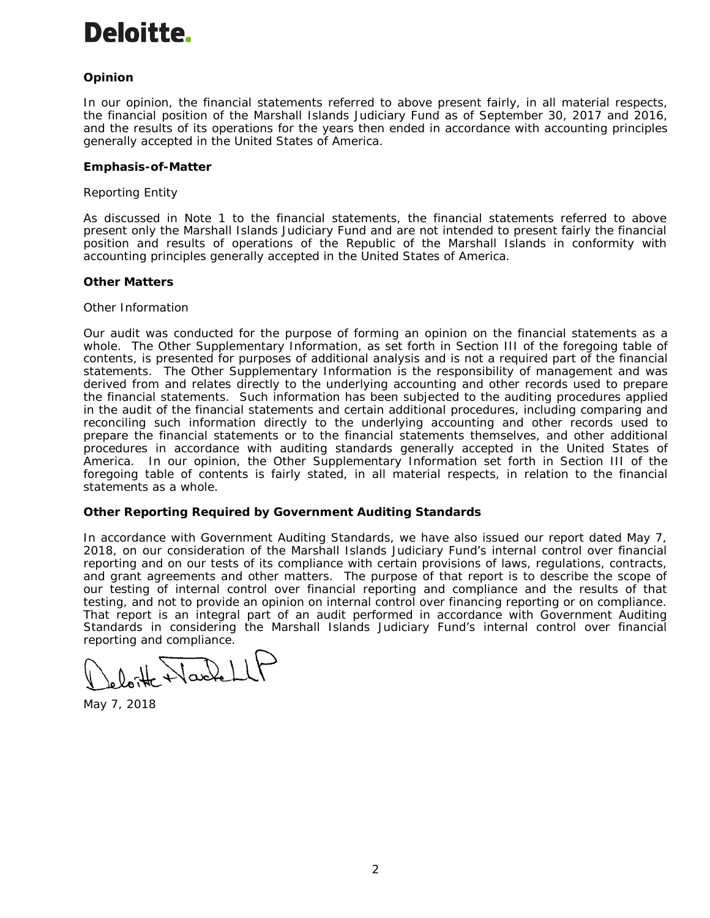# *Opinion*

In our opinion, the financial statements referred to above present fairly, in all material respects, the financial position of the Marshall Islands Judiciary Fund as of September 30, 2017 and 2016, and the results of its operations for the years then ended in accordance with accounting principles generally accepted in the United States of America.

#### *Emphasis-of-Matter*

#### *Reporting Entity*

As discussed in Note 1 to the financial statements, the financial statements referred to above present only the Marshall Islands Judiciary Fund and are not intended to present fairly the financial position and results of operations of the Republic of the Marshall Islands in conformity with accounting principles generally accepted in the United States of America.

## *Other Matters*

## *Other Information*

Our audit was conducted for the purpose of forming an opinion on the financial statements as a whole. The Other Supplementary Information, as set forth in Section III of the foregoing table of contents, is presented for purposes of additional analysis and is not a required part of the financial statements. The Other Supplementary Information is the responsibility of management and was derived from and relates directly to the underlying accounting and other records used to prepare the financial statements. Such information has been subjected to the auditing procedures applied in the audit of the financial statements and certain additional procedures, including comparing and reconciling such information directly to the underlying accounting and other records used to prepare the financial statements or to the financial statements themselves, and other additional procedures in accordance with auditing standards generally accepted in the United States of America. In our opinion, the Other Supplementary Information set forth in Section III of the foregoing table of contents is fairly stated, in all material respects, in relation to the financial statements as a whole.

# **Other Reporting Required by** *Government Auditing Standards*

In accordance with *Government Auditing Standards*, we have also issued our report dated May 7, 2018, on our consideration of the Marshall Islands Judiciary Fund's internal control over financial reporting and on our tests of its compliance with certain provisions of laws, regulations, contracts, and grant agreements and other matters. The purpose of that report is to describe the scope of our testing of internal control over financial reporting and compliance and the results of that testing, and not to provide an opinion on internal control over financing reporting or on compliance. That report is an integral part of an audit performed in accordance with *Government Auditing Standards* in considering the Marshall Islands Judiciary Fund's internal control over financial reporting and compliance.

He Wackell

May 7, 2018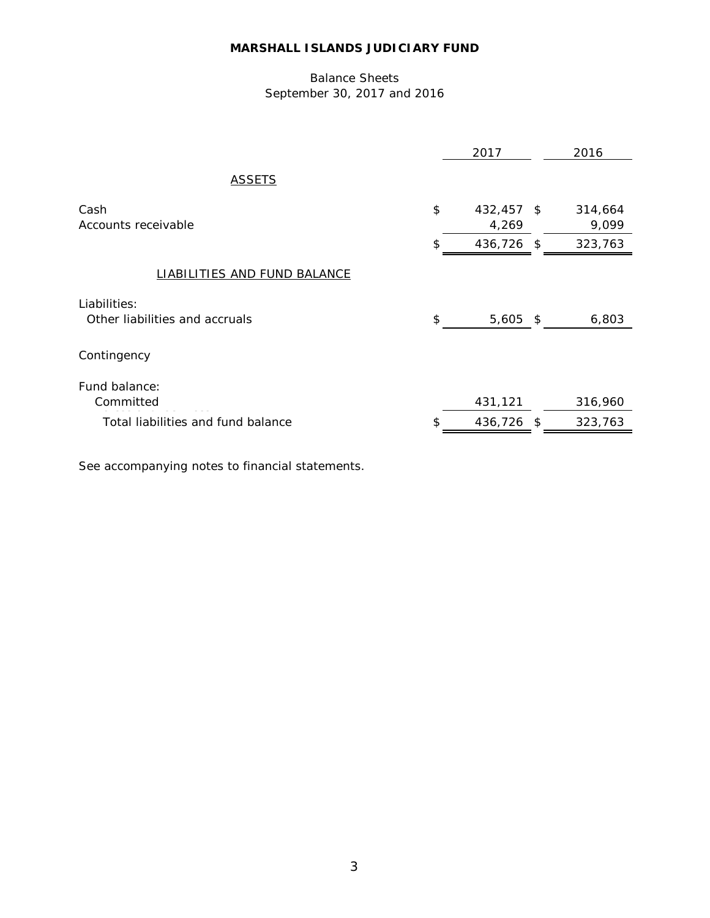# Balance Sheets September 30, 2017 and 2016

|                                                | 2017                      | 2016             |
|------------------------------------------------|---------------------------|------------------|
| <b>ASSETS</b>                                  |                           |                  |
| Cash<br>Accounts receivable                    | \$<br>432,457 \$<br>4,269 | 314,664<br>9,099 |
|                                                | \$<br>436,726 \$          | 323,763          |
| <b>LIABILITIES AND FUND BALANCE</b>            |                           |                  |
| Liabilities:<br>Other liabilities and accruals | \$<br>$5,605$ \$          | 6,803            |
| Contingency                                    |                           |                  |
| Fund balance:<br>Committed                     | 431,121                   | 316,960          |
| Total liabilities and fund balance             | \$<br>436,726             | \$<br>323,763    |
|                                                |                           |                  |

See accompanying notes to financial statements.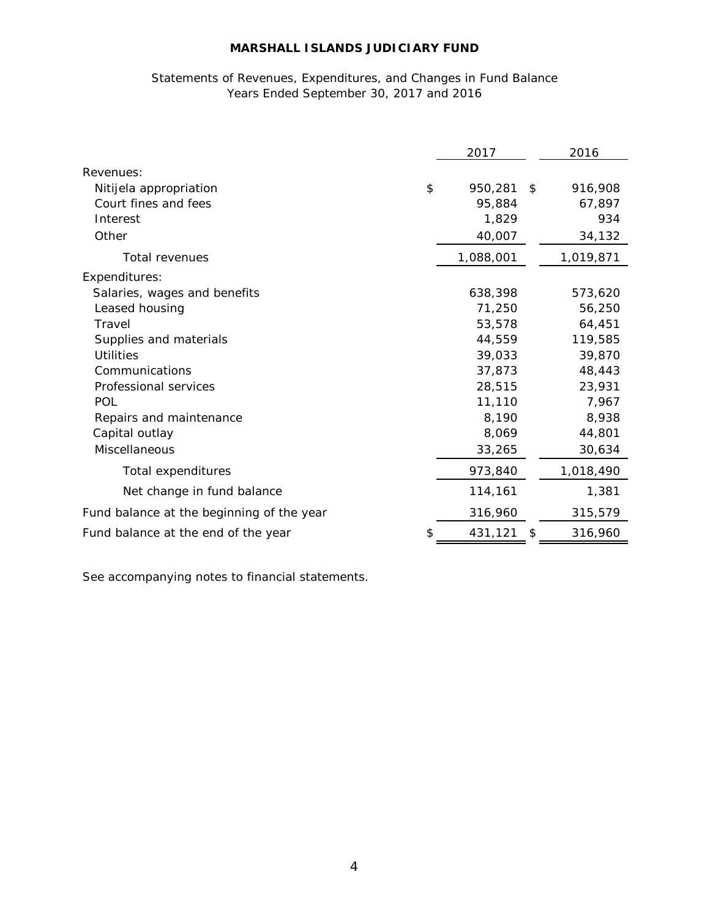# Statements of Revenues, Expenditures, and Changes in Fund Balance Years Ended September 30, 2017 and 2016

|                                           | 2017          | 2016          |
|-------------------------------------------|---------------|---------------|
| Revenues:                                 |               |               |
| Nitijela appropriation                    | \$<br>950,281 | \$<br>916,908 |
| Court fines and fees                      | 95,884        | 67,897        |
| Interest                                  | 1,829         | 934           |
| Other                                     | 40,007        | 34,132        |
| Total revenues                            | 1,088,001     | 1,019,871     |
| Expenditures:                             |               |               |
| Salaries, wages and benefits              | 638,398       | 573,620       |
| Leased housing                            | 71,250        | 56,250        |
| Travel                                    | 53,578        | 64,451        |
| Supplies and materials                    | 44,559        | 119,585       |
| <b>Utilities</b>                          | 39,033        | 39,870        |
| Communications                            | 37,873        | 48,443        |
| Professional services                     | 28,515        | 23,931        |
| POL                                       | 11,110        | 7,967         |
| Repairs and maintenance                   | 8,190         | 8,938         |
| Capital outlay                            | 8,069         | 44,801        |
| Miscellaneous                             | 33,265        | 30,634        |
| Total expenditures                        | 973,840       | 1,018,490     |
| Net change in fund balance                | 114,161       | 1,381         |
| Fund balance at the beginning of the year | 316,960       | 315,579       |
| Fund balance at the end of the year       | \$<br>431,121 | \$<br>316,960 |

See accompanying notes to financial statements.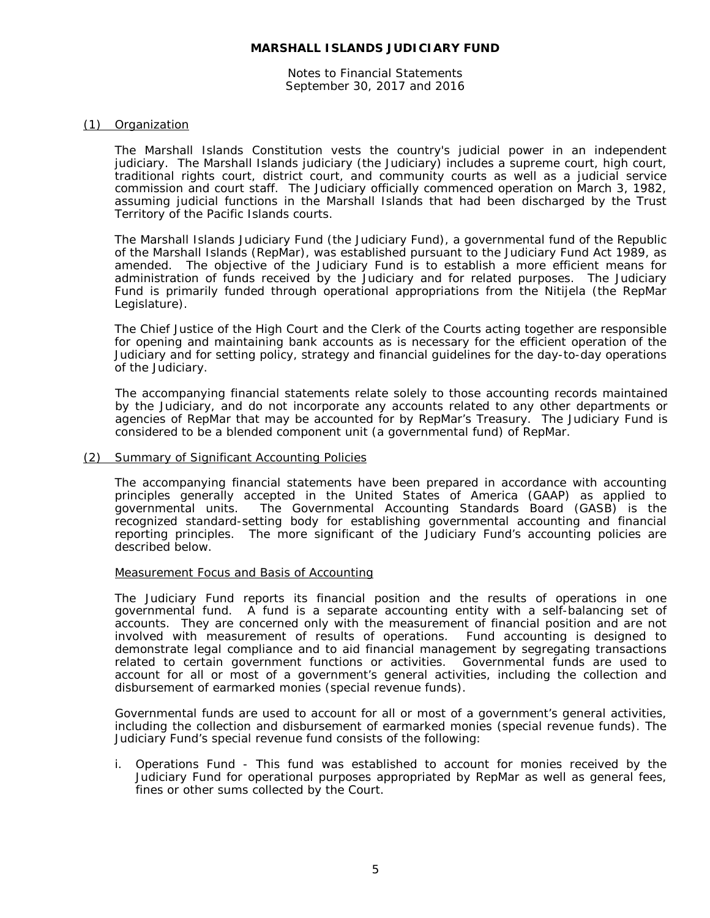Notes to Financial Statements September 30, 2017 and 2016

#### (1) Organization

The Marshall Islands Constitution vests the country's judicial power in an independent judiciary. The Marshall Islands judiciary (the Judiciary) includes a supreme court, high court, traditional rights court, district court, and community courts as well as a judicial service commission and court staff. The Judiciary officially commenced operation on March 3, 1982, assuming judicial functions in the Marshall Islands that had been discharged by the Trust Territory of the Pacific Islands courts.

The Marshall Islands Judiciary Fund (the Judiciary Fund), a governmental fund of the Republic of the Marshall Islands (RepMar), was established pursuant to the Judiciary Fund Act 1989, as amended. The objective of the Judiciary Fund is to establish a more efficient means for administration of funds received by the Judiciary and for related purposes. The Judiciary Fund is primarily funded through operational appropriations from the Nitijela (the RepMar Legislature).

The Chief Justice of the High Court and the Clerk of the Courts acting together are responsible for opening and maintaining bank accounts as is necessary for the efficient operation of the Judiciary and for setting policy, strategy and financial guidelines for the day-to-day operations of the Judiciary.

The accompanying financial statements relate solely to those accounting records maintained by the Judiciary, and do not incorporate any accounts related to any other departments or agencies of RepMar that may be accounted for by RepMar's Treasury. The Judiciary Fund is considered to be a blended component unit (a governmental fund) of RepMar.

#### (2) Summary of Significant Accounting Policies

The accompanying financial statements have been prepared in accordance with accounting principles generally accepted in the United States of America (GAAP) as applied to governmental units. The Governmental Accounting Standards Board (GASB) is the The Governmental Accounting Standards Board (GASB) is the recognized standard-setting body for establishing governmental accounting and financial reporting principles. The more significant of the Judiciary Fund's accounting policies are described below.

#### Measurement Focus and Basis of Accounting

The Judiciary Fund reports its financial position and the results of operations in one governmental fund. A fund is a separate accounting entity with a self-balancing set of accounts. They are concerned only with the measurement of financial position and are not involved with measurement of results of operations. Fund accounting is designed to involved with measurement of results of operations. demonstrate legal compliance and to aid financial management by segregating transactions related to certain government functions or activities. Governmental funds are used to account for all or most of a government's general activities, including the collection and disbursement of earmarked monies (special revenue funds).

Governmental funds are used to account for all or most of a government's general activities, including the collection and disbursement of earmarked monies (special revenue funds). The Judiciary Fund's special revenue fund consists of the following:

i. Operations Fund - This fund was established to account for monies received by the Judiciary Fund for operational purposes appropriated by RepMar as well as general fees, fines or other sums collected by the Court.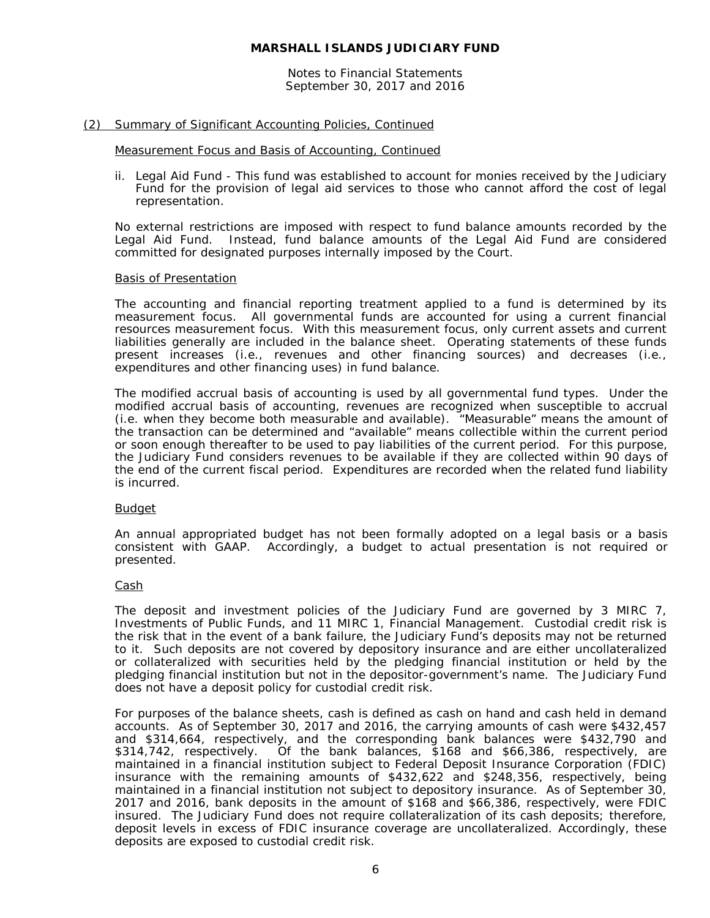Notes to Financial Statements September 30, 2017 and 2016

#### (2) Summary of Significant Accounting Policies, Continued

#### Measurement Focus and Basis of Accounting, Continued

ii. Legal Aid Fund - This fund was established to account for monies received by the Judiciary Fund for the provision of legal aid services to those who cannot afford the cost of legal representation.

No external restrictions are imposed with respect to fund balance amounts recorded by the Legal Aid Fund. Instead, fund balance amounts of the Legal Aid Fund are considered committed for designated purposes internally imposed by the Court.

#### Basis of Presentation

The accounting and financial reporting treatment applied to a fund is determined by its measurement focus. All governmental funds are accounted for using a current financial resources measurement focus. With this measurement focus, only current assets and current liabilities generally are included in the balance sheet. Operating statements of these funds present increases (i.e., revenues and other financing sources) and decreases (i.e., expenditures and other financing uses) in fund balance.

The modified accrual basis of accounting is used by all governmental fund types. Under the modified accrual basis of accounting, revenues are recognized when susceptible to accrual (i.e. when they become both measurable and available). "Measurable" means the amount of the transaction can be determined and "available" means collectible within the current period or soon enough thereafter to be used to pay liabilities of the current period. For this purpose, the Judiciary Fund considers revenues to be available if they are collected within 90 days of the end of the current fiscal period. Expenditures are recorded when the related fund liability is incurred.

#### **Budget**

An annual appropriated budget has not been formally adopted on a legal basis or a basis consistent with GAAP. Accordingly, a budget to actual presentation is not required or presented.

#### Cash

The deposit and investment policies of the Judiciary Fund are governed by 3 MIRC 7, *Investments of Public Funds*, and 11 MIRC 1, *Financial Management*. Custodial credit risk is the risk that in the event of a bank failure, the Judiciary Fund's deposits may not be returned to it. Such deposits are not covered by depository insurance and are either uncollateralized or collateralized with securities held by the pledging financial institution or held by the pledging financial institution but not in the depositor-government's name. The Judiciary Fund does not have a deposit policy for custodial credit risk.

For purposes of the balance sheets, cash is defined as cash on hand and cash held in demand accounts. As of September 30, 2017 and 2016, the carrying amounts of cash were \$432,457 and \$314,664, respectively, and the corresponding bank balances were \$432,790 and \$314,742, respectively. Of the bank balances, \$168 and \$66,386, respectively, are maintained in a financial institution subject to Federal Deposit Insurance Corporation (FDIC) insurance with the remaining amounts of \$432,622 and \$248,356, respectively, being maintained in a financial institution not subject to depository insurance. As of September 30, 2017 and 2016, bank deposits in the amount of \$168 and \$66,386, respectively, were FDIC insured. The Judiciary Fund does not require collateralization of its cash deposits; therefore, deposit levels in excess of FDIC insurance coverage are uncollateralized. Accordingly, these deposits are exposed to custodial credit risk.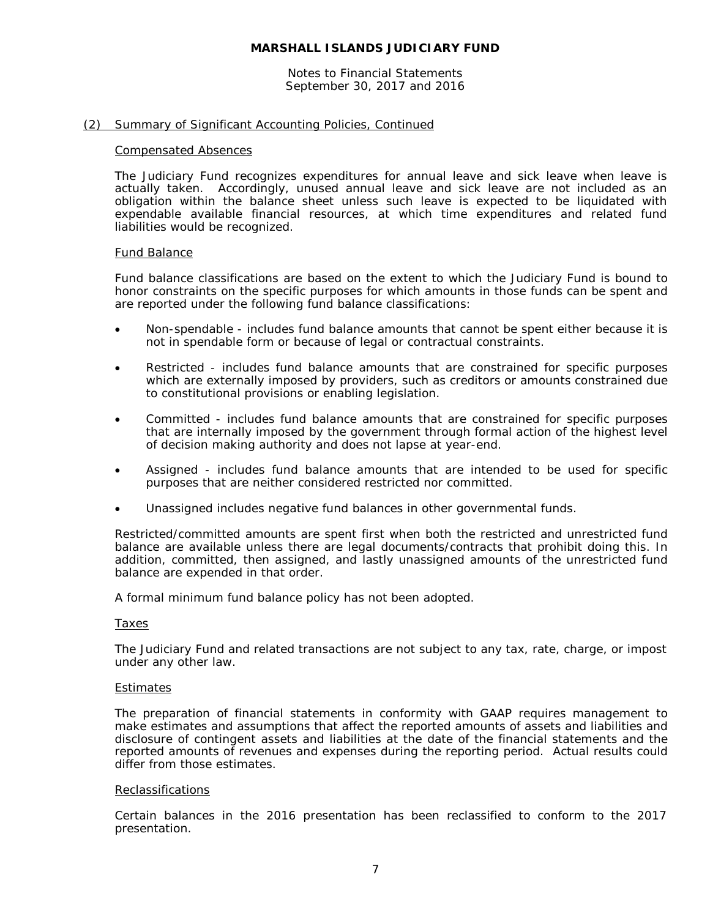Notes to Financial Statements September 30, 2017 and 2016

#### (2) Summary of Significant Accounting Policies, Continued

#### Compensated Absences

The Judiciary Fund recognizes expenditures for annual leave and sick leave when leave is actually taken. Accordingly, unused annual leave and sick leave are not included as an obligation within the balance sheet unless such leave is expected to be liquidated with expendable available financial resources, at which time expenditures and related fund liabilities would be recognized.

#### Fund Balance

Fund balance classifications are based on the extent to which the Judiciary Fund is bound to honor constraints on the specific purposes for which amounts in those funds can be spent and are reported under the following fund balance classifications:

- Non-spendable includes fund balance amounts that cannot be spent either because it is not in spendable form or because of legal or contractual constraints.
- Restricted includes fund balance amounts that are constrained for specific purposes which are externally imposed by providers, such as creditors or amounts constrained due to constitutional provisions or enabling legislation.
- Committed includes fund balance amounts that are constrained for specific purposes that are internally imposed by the government through formal action of the highest level of decision making authority and does not lapse at year-end.
- Assigned includes fund balance amounts that are intended to be used for specific purposes that are neither considered restricted nor committed.
- Unassigned includes negative fund balances in other governmental funds.

Restricted/committed amounts are spent first when both the restricted and unrestricted fund balance are available unless there are legal documents/contracts that prohibit doing this. In addition, committed, then assigned, and lastly unassigned amounts of the unrestricted fund balance are expended in that order.

A formal minimum fund balance policy has not been adopted.

#### Taxes

The Judiciary Fund and related transactions are not subject to any tax, rate, charge, or impost under any other law.

#### Estimates

The preparation of financial statements in conformity with GAAP requires management to make estimates and assumptions that affect the reported amounts of assets and liabilities and disclosure of contingent assets and liabilities at the date of the financial statements and the reported amounts of revenues and expenses during the reporting period. Actual results could differ from those estimates.

#### Reclassifications

Certain balances in the 2016 presentation has been reclassified to conform to the 2017 presentation.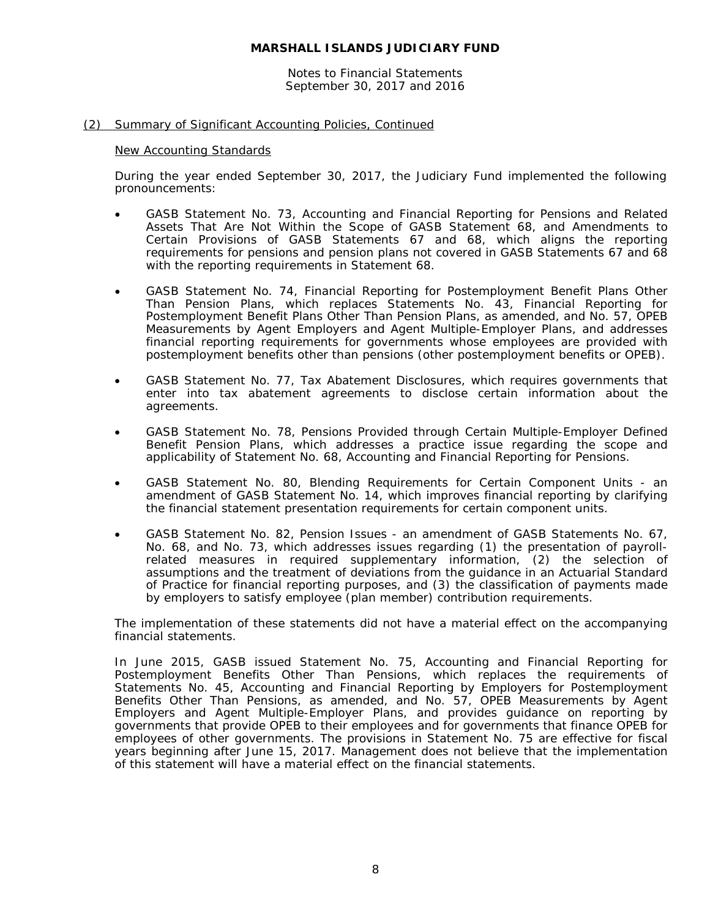Notes to Financial Statements September 30, 2017 and 2016

#### (2) Summary of Significant Accounting Policies, Continued

#### New Accounting Standards

During the year ended September 30, 2017, the Judiciary Fund implemented the following pronouncements:

- GASB Statement No. 73, *Accounting and Financial Reporting for Pensions and Related Assets That Are Not Within the Scope of GASB Statement 68, and Amendments to Certain Provisions of GASB Statements 67 and 68*, which aligns the reporting requirements for pensions and pension plans not covered in GASB Statements 67 and 68 with the reporting requirements in Statement 68.
- GASB Statement No. 74, *Financial Reporting for Postemployment Benefit Plans Other Than Pension Plans*, which replaces Statements No. 43, *Financial Reporting for Postemployment Benefit Plans Other Than Pension Plans, as amended,* and No. 57, *OPEB Measurements by Agent Employers and Agent Multiple-Employer Plans*, and addresses financial reporting requirements for governments whose employees are provided with postemployment benefits other than pensions (other postemployment benefits or OPEB).
- GASB Statement No. 77, *Tax Abatement Disclosures*, which requires governments that enter into tax abatement agreements to disclose certain information about the agreements.
- GASB Statement No. 78, *Pensions Provided through Certain Multiple-Employer Defined Benefit Pension Plans*, which addresses a practice issue regarding the scope and applicability of Statement No. 68, *Accounting and Financial Reporting for Pensions*.
- GASB Statement No. 80, *Blending Requirements for Certain Component Units - an amendment of GASB Statement No. 14*, which improves financial reporting by clarifying the financial statement presentation requirements for certain component units.
- GASB Statement No. 82, *Pension Issues - an amendment of GASB Statements No. 67, No. 68, and No. 73*, which addresses issues regarding (1) the presentation of payrollrelated measures in required supplementary information, (2) the selection of assumptions and the treatment of deviations from the guidance in an Actuarial Standard of Practice for financial reporting purposes, and (3) the classification of payments made by employers to satisfy employee (plan member) contribution requirements.

The implementation of these statements did not have a material effect on the accompanying financial statements.

In June 2015, GASB issued Statement No. 75, *Accounting and Financial Reporting for Postemployment Benefits Other Than Pensions*, which replaces the requirements of Statements No. 45, *Accounting and Financial Reporting by Employers for Postemployment Benefits Other Than Pensions*, as amended, and No. 57, *OPEB Measurements by Agent Employers and Agent Multiple-Employer Plans*, and provides guidance on reporting by governments that provide OPEB to their employees and for governments that finance OPEB for employees of other governments. The provisions in Statement No. 75 are effective for fiscal years beginning after June 15, 2017. Management does not believe that the implementation of this statement will have a material effect on the financial statements.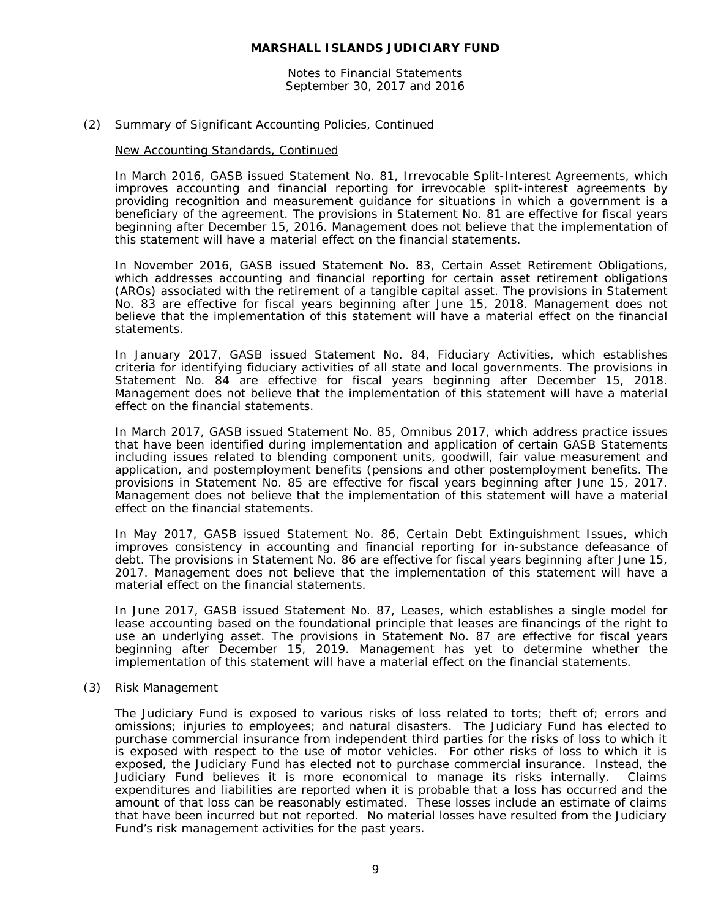Notes to Financial Statements September 30, 2017 and 2016

#### (2) Summary of Significant Accounting Policies, Continued

#### New Accounting Standards, Continued

In March 2016, GASB issued Statement No. 81, *Irrevocable Split-Interest Agreements,* which improves accounting and financial reporting for irrevocable split-interest agreements by providing recognition and measurement guidance for situations in which a government is a beneficiary of the agreement. The provisions in Statement No. 81 are effective for fiscal years beginning after December 15, 2016. Management does not believe that the implementation of this statement will have a material effect on the financial statements.

In November 2016, GASB issued Statement No. 83, *Certain Asset Retirement Obligations*, which addresses accounting and financial reporting for certain asset retirement obligations (AROs) associated with the retirement of a tangible capital asset. The provisions in Statement No. 83 are effective for fiscal years beginning after June 15, 2018. Management does not believe that the implementation of this statement will have a material effect on the financial statements.

In January 2017, GASB issued Statement No. 84, *Fiduciary Activities*, which establishes criteria for identifying fiduciary activities of all state and local governments. The provisions in Statement No. 84 are effective for fiscal years beginning after December 15, 2018. Management does not believe that the implementation of this statement will have a material effect on the financial statements.

In March 2017, GASB issued Statement No. 85, *Omnibus 2017*, which address practice issues that have been identified during implementation and application of certain GASB Statements including issues related to blending component units, goodwill, fair value measurement and application, and postemployment benefits (pensions and other postemployment benefits. The provisions in Statement No. 85 are effective for fiscal years beginning after June 15, 2017. Management does not believe that the implementation of this statement will have a material effect on the financial statements.

In May 2017, GASB issued Statement No. 86, *Certain Debt Extinguishment Issues*, which improves consistency in accounting and financial reporting for in-substance defeasance of debt. The provisions in Statement No. 86 are effective for fiscal years beginning after June 15, 2017. Management does not believe that the implementation of this statement will have a material effect on the financial statements.

In June 2017, GASB issued Statement No. 87, *Leases*, which establishes a single model for lease accounting based on the foundational principle that leases are financings of the right to use an underlying asset. The provisions in Statement No. 87 are effective for fiscal years beginning after December 15, 2019. Management has yet to determine whether the implementation of this statement will have a material effect on the financial statements.

#### (3) Risk Management

The Judiciary Fund is exposed to various risks of loss related to torts; theft of; errors and omissions; injuries to employees; and natural disasters. The Judiciary Fund has elected to purchase commercial insurance from independent third parties for the risks of loss to which it is exposed with respect to the use of motor vehicles. For other risks of loss to which it is exposed, the Judiciary Fund has elected not to purchase commercial insurance. Instead, the Judiciary Fund believes it is more economical to manage its risks internally. Claims expenditures and liabilities are reported when it is probable that a loss has occurred and the amount of that loss can be reasonably estimated. These losses include an estimate of claims that have been incurred but not reported. No material losses have resulted from the Judiciary Fund's risk management activities for the past years.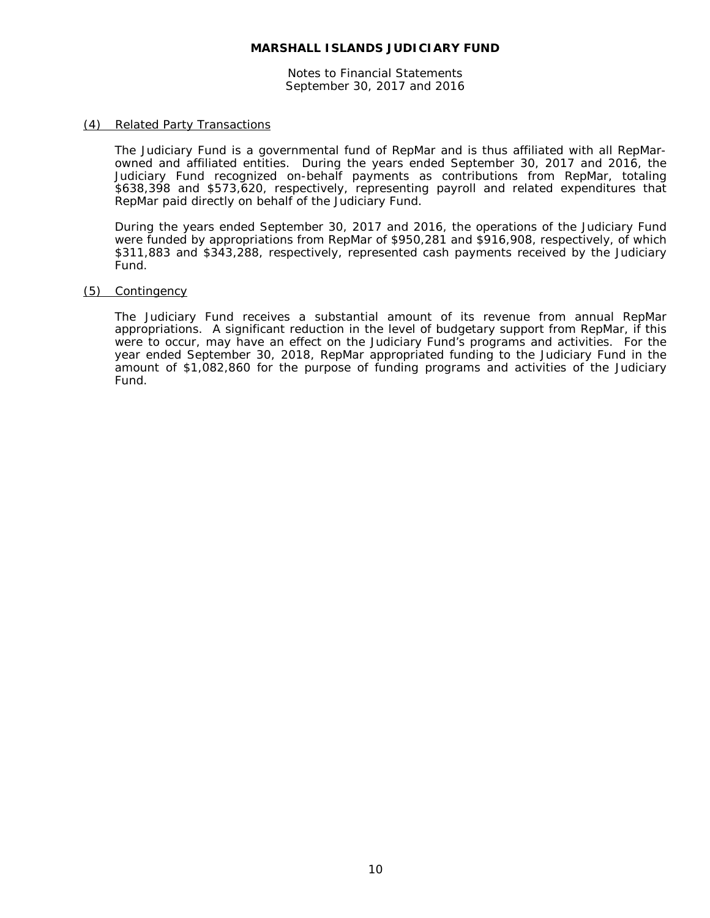Notes to Financial Statements September 30, 2017 and 2016

#### (4) Related Party Transactions

The Judiciary Fund is a governmental fund of RepMar and is thus affiliated with all RepMarowned and affiliated entities. During the years ended September 30, 2017 and 2016, the Judiciary Fund recognized on-behalf payments as contributions from RepMar, totaling \$638,398 and \$573,620, respectively, representing payroll and related expenditures that RepMar paid directly on behalf of the Judiciary Fund.

During the years ended September 30, 2017 and 2016, the operations of the Judiciary Fund were funded by appropriations from RepMar of \$950,281 and \$916,908, respectively, of which \$311,883 and \$343,288, respectively, represented cash payments received by the Judiciary Fund.

#### (5) Contingency

The Judiciary Fund receives a substantial amount of its revenue from annual RepMar appropriations. A significant reduction in the level of budgetary support from RepMar, if this were to occur, may have an effect on the Judiciary Fund's programs and activities. For the year ended September 30, 2018, RepMar appropriated funding to the Judiciary Fund in the amount of \$1,082,860 for the purpose of funding programs and activities of the Judiciary Fund.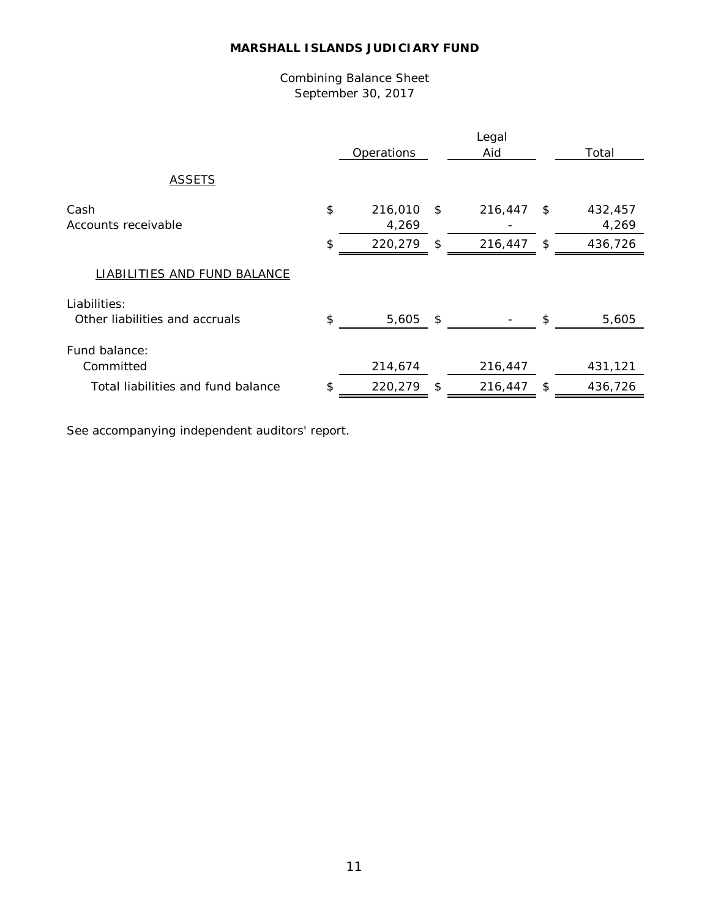# Combining Balance Sheet September 30, 2017

|                                                | Operations             | Legal<br>Aid  |         | Total      |                  |
|------------------------------------------------|------------------------|---------------|---------|------------|------------------|
| <b>ASSETS</b>                                  |                        |               |         |            |                  |
| Cash<br>Accounts receivable                    | \$<br>216,010<br>4,269 | \$            | 216,447 | \$         | 432,457<br>4,269 |
|                                                | \$<br>220,279          | $\frac{1}{2}$ | 216,447 | $\sqrt{2}$ | 436,726          |
| LIABILITIES AND FUND BALANCE                   |                        |               |         |            |                  |
| Liabilities:<br>Other liabilities and accruals | \$<br>5,605            | $\sqrt{2}$    |         | \$         | 5,605            |
| Fund balance:<br>Committed                     | 214,674                |               | 216,447 |            | 431,121          |
| Total liabilities and fund balance             | \$<br>220,279          | \$            | 216,447 | \$         | 436,726          |

See accompanying independent auditors' report.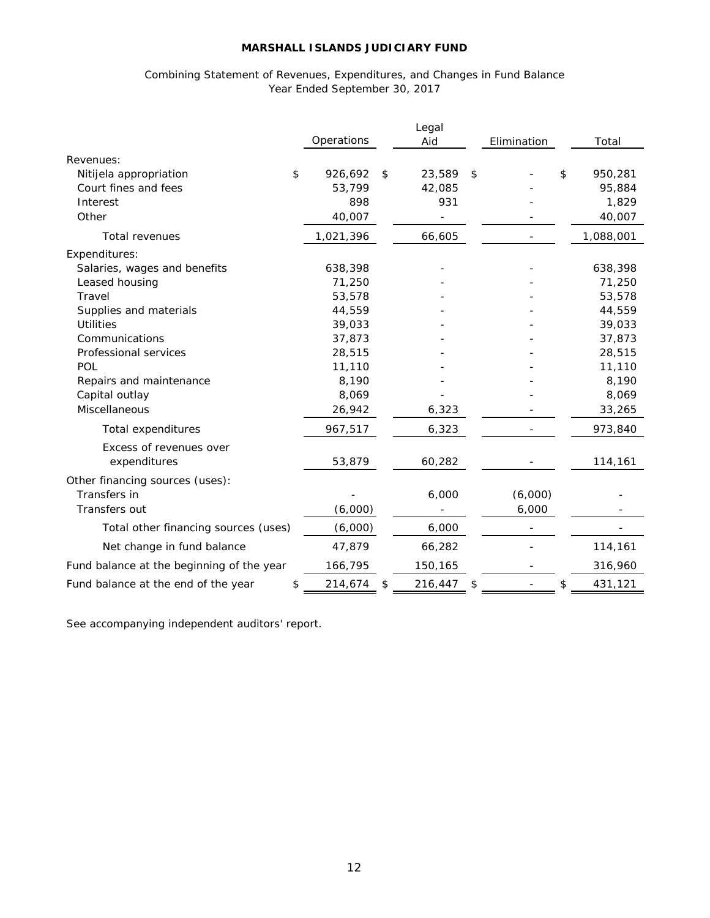# Combining Statement of Revenues, Expenditures, and Changes in Fund Balance Year Ended September 30, 2017

|                                           | Operations | Legal<br>Aid  | Elimination | Total         |
|-------------------------------------------|------------|---------------|-------------|---------------|
| Revenues:                                 |            |               |             |               |
| \$<br>Nitijela appropriation              | 926,692    | \$<br>23,589  | \$          | \$<br>950,281 |
| Court fines and fees                      | 53,799     | 42,085        |             | 95,884        |
| Interest                                  | 898        | 931           |             | 1,829         |
| Other                                     | 40,007     |               |             | 40,007        |
| Total revenues                            | 1,021,396  | 66,605        |             | 1,088,001     |
| Expenditures:                             |            |               |             |               |
| Salaries, wages and benefits              | 638,398    |               |             | 638,398       |
| Leased housing                            | 71,250     |               |             | 71,250        |
| Travel                                    | 53,578     |               |             | 53,578        |
| Supplies and materials                    | 44,559     |               |             | 44,559        |
| Utilities                                 | 39,033     |               |             | 39,033        |
| Communications                            | 37,873     |               |             | 37,873        |
| Professional services                     | 28,515     |               |             | 28,515        |
| POL                                       | 11,110     |               |             | 11,110        |
| Repairs and maintenance                   | 8,190      |               |             | 8,190         |
| Capital outlay                            | 8,069      |               |             | 8,069         |
| Miscellaneous                             | 26,942     | 6,323         |             | 33,265        |
| Total expenditures                        | 967,517    | 6,323         |             | 973,840       |
| Excess of revenues over                   |            |               |             |               |
| expenditures                              | 53,879     | 60,282        |             | 114,161       |
| Other financing sources (uses):           |            |               |             |               |
| Transfers in                              |            | 6,000         | (6,000)     |               |
| Transfers out                             | (6,000)    |               | 6,000       |               |
| Total other financing sources (uses)      | (6,000)    | 6,000         |             |               |
| Net change in fund balance                | 47,879     | 66,282        |             | 114,161       |
| Fund balance at the beginning of the year | 166,795    | 150,165       |             | 316,960       |
| \$<br>Fund balance at the end of the year | 214,674    | \$<br>216,447 | \$          | \$<br>431,121 |

See accompanying independent auditors' report.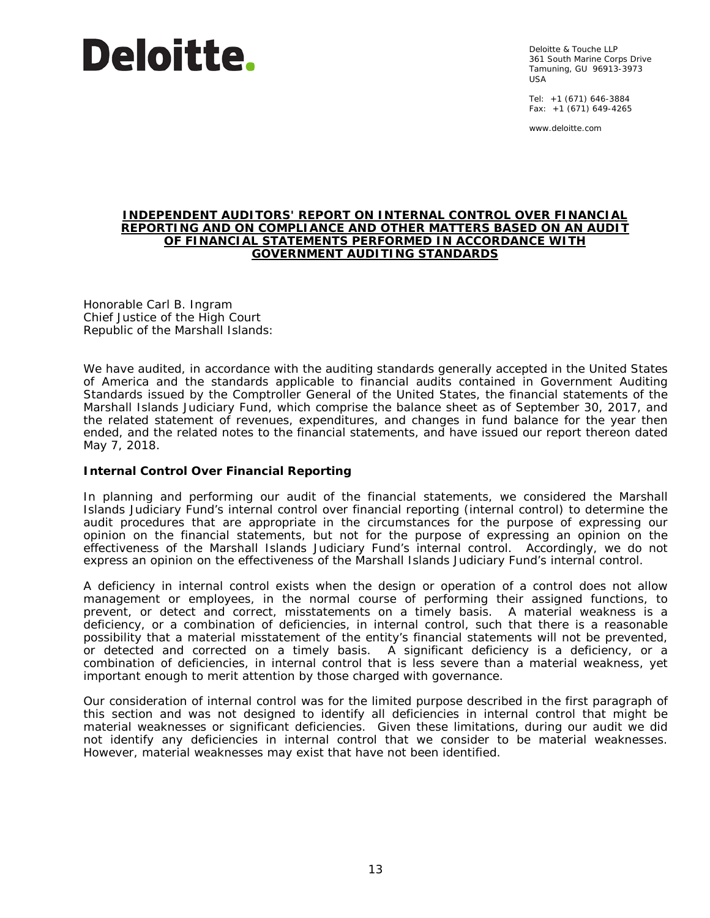Deloitte & Touche LLP 361 South Marine Corps Drive Tamuning, GU 96913-3973 USA

Tel: +1 (671) 646-3884 Fax:  $+1$  (671) 649-4265

www.deloitte.com

#### **INDEPENDENT AUDITORS' REPORT ON INTERNAL CONTROL OVER FINANCIAL REPORTING AND ON COMPLIANCE AND OTHER MATTERS BASED ON AN AUDIT OF FINANCIAL STATEMENTS PERFORMED IN ACCORDANCE WITH** *GOVERNMENT AUDITING STANDARDS*

Honorable Carl B. Ingram Chief Justice of the High Court Republic of the Marshall Islands:

We have audited, in accordance with the auditing standards generally accepted in the United States of America and the standards applicable to financial audits contained in *Government Auditing Standards* issued by the Comptroller General of the United States, the financial statements of the Marshall Islands Judiciary Fund, which comprise the balance sheet as of September 30, 2017, and the related statement of revenues, expenditures, and changes in fund balance for the year then ended, and the related notes to the financial statements, and have issued our report thereon dated May 7, 2018.

# **Internal Control Over Financial Reporting**

In planning and performing our audit of the financial statements, we considered the Marshall Islands Judiciary Fund's internal control over financial reporting (internal control) to determine the audit procedures that are appropriate in the circumstances for the purpose of expressing our opinion on the financial statements, but not for the purpose of expressing an opinion on the effectiveness of the Marshall Islands Judiciary Fund's internal control. Accordingly, we do not express an opinion on the effectiveness of the Marshall Islands Judiciary Fund's internal control.

A *deficiency in internal control* exists when the design or operation of a control does not allow management or employees, in the normal course of performing their assigned functions, to prevent, or detect and correct, misstatements on a timely basis. A *material weakness* is a deficiency, or a combination of deficiencies, in internal control, such that there is a reasonable possibility that a material misstatement of the entity's financial statements will not be prevented, or detected and corrected on a timely basis. A *significant deficiency* is a deficiency, or a combination of deficiencies, in internal control that is less severe than a material weakness, yet important enough to merit attention by those charged with governance.

Our consideration of internal control was for the limited purpose described in the first paragraph of this section and was not designed to identify all deficiencies in internal control that might be material weaknesses or significant deficiencies. Given these limitations, during our audit we did not identify any deficiencies in internal control that we consider to be material weaknesses. However, material weaknesses may exist that have not been identified.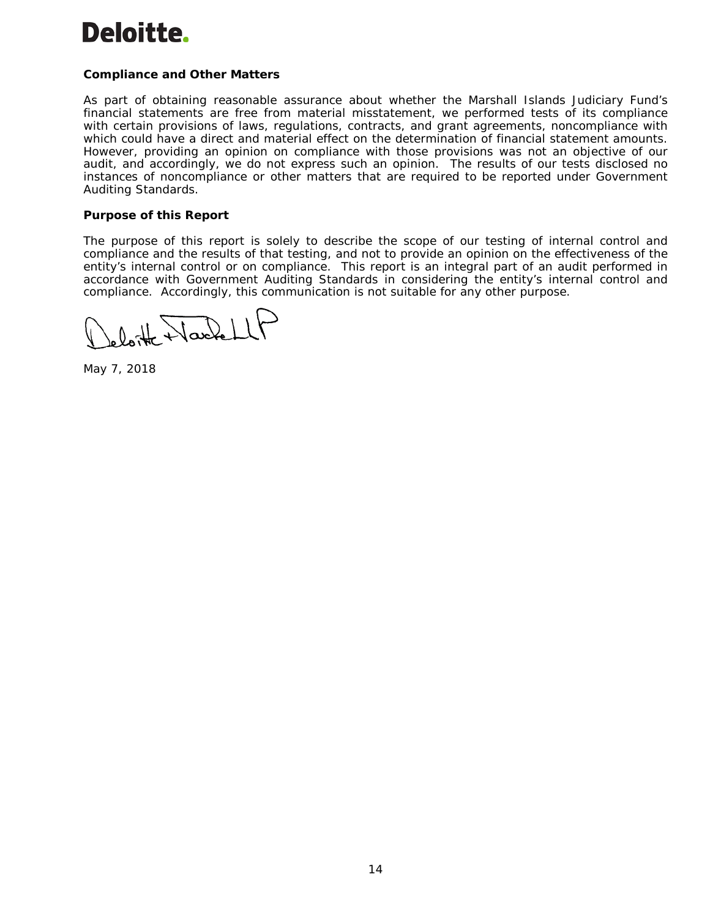# **Compliance and Other Matters**

As part of obtaining reasonable assurance about whether the Marshall Islands Judiciary Fund's financial statements are free from material misstatement, we performed tests of its compliance with certain provisions of laws, regulations, contracts, and grant agreements, noncompliance with which could have a direct and material effect on the determination of financial statement amounts. However, providing an opinion on compliance with those provisions was not an objective of our audit, and accordingly, we do not express such an opinion. The results of our tests disclosed no instances of noncompliance or other matters that are required to be reported under *Government Auditing Standards*.

# **Purpose of this Report**

The purpose of this report is solely to describe the scope of our testing of internal control and compliance and the results of that testing, and not to provide an opinion on the effectiveness of the entity's internal control or on compliance. This report is an integral part of an audit performed in accordance with *Government Auditing Standards* in considering the entity's internal control and compliance. Accordingly, this communication is not suitable for any other purpose.

loit Nachel

May 7, 2018